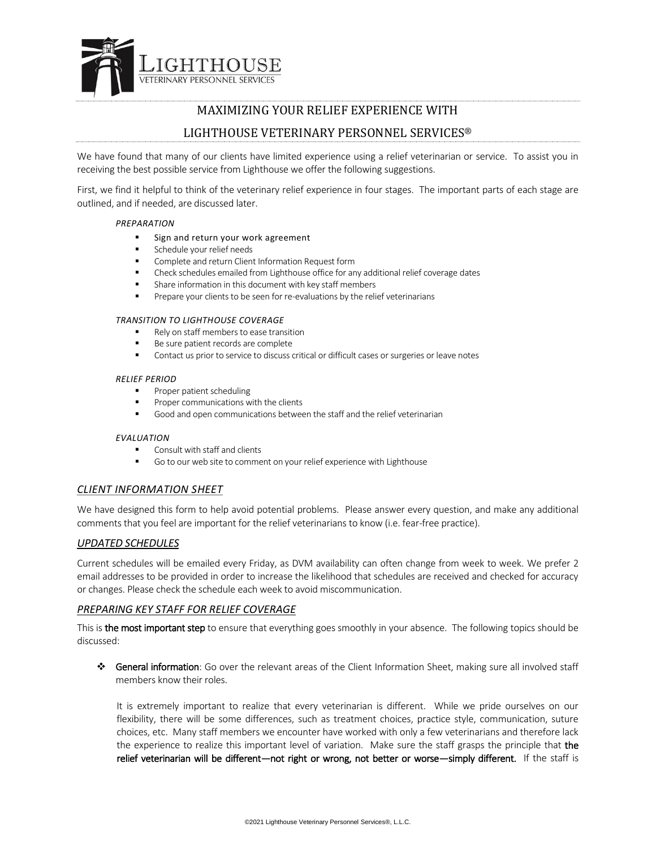

# MAXIMIZING YOUR RELIEF EXPERIENCE WITH

# LIGHTHOUSE VETERINARY PERSONNEL SERVICES®

We have found that many of our clients have limited experience using a relief veterinarian or service. To assist you in receiving the best possible service from Lighthouse we offer the following suggestions.

First, we find it helpful to think of the veterinary relief experience in four stages. The important parts of each stage are outlined, and if needed, are discussed later.

#### *PREPARATION*

- Sign and return your work agreement
- Schedule your relief needs
- **EXECOMPLETE And return Client Information Request form**
- Check schedules emailed from Lighthouse office for any additional relief coverage dates
- Share information in this document with key staff members
- **Prepare your clients to be seen for re-evaluations by the relief veterinarians**

#### *TRANSITION TO LIGHTHOUSE COVERAGE*

- Rely on staff members to ease transition
- Be sure patient records are complete
- Contact us prior to service to discuss critical or difficult cases or surgeries or leave notes

#### *RELIEF PERIOD*

- Proper patient scheduling
- Proper communications with the clients
- Good and open communications between the staff and the relief veterinarian

## *EVALUATION*

- Consult with staff and clients
- Go to our web site to comment on your relief experience with Lighthouse

## *CLIENT INFORMATION SHEET*

We have designed this form to help avoid potential problems. Please answer every question, and make any additional comments that you feel are important for the relief veterinarians to know (i.e. fear-free practice).

## *UPDATED SCHEDULES*

Current schedules will be emailed every Friday, as DVM availability can often change from week to week. We prefer 2 email addresses to be provided in order to increase the likelihood that schedules are received and checked for accuracy or changes. Please check the schedule each week to avoid miscommunication.

## *PREPARING KEY STAFF FOR RELIEF COVERAGE*

This is **the most important step** to ensure that everything goes smoothly in your absence. The following topics should be discussed:

 General information: Go over the relevant areas of the Client Information Sheet, making sure all involved staff members know their roles.

It is extremely important to realize that every veterinarian is different. While we pride ourselves on our flexibility, there will be some differences, such as treatment choices, practice style, communication, suture choices, etc. Many staff members we encounter have worked with only a few veterinarians and therefore lack the experience to realize this important level of variation. Make sure the staff grasps the principle that the relief veterinarian will be different—not right or wrong, not better or worse—simply different. If the staff is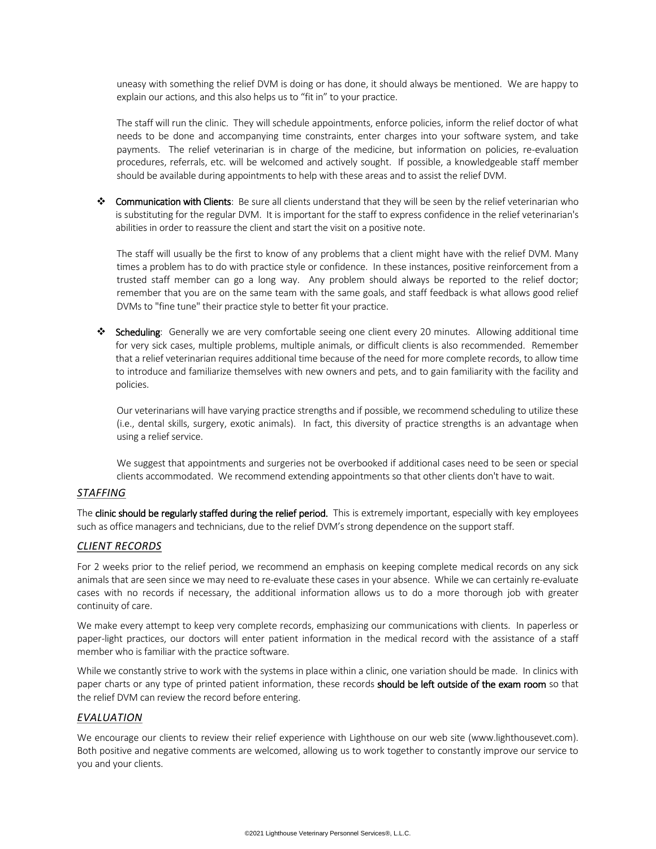uneasy with something the relief DVM is doing or has done, it should always be mentioned. We are happy to explain our actions, and this also helps us to "fit in" to your practice.

The staff will run the clinic. They will schedule appointments, enforce policies, inform the relief doctor of what needs to be done and accompanying time constraints, enter charges into your software system, and take payments. The relief veterinarian is in charge of the medicine, but information on policies, re-evaluation procedures, referrals, etc. will be welcomed and actively sought. If possible, a knowledgeable staff member should be available during appointments to help with these areas and to assist the relief DVM.

◆ Communication with Clients: Be sure all clients understand that they will be seen by the relief veterinarian who is substituting for the regular DVM. It is important for the staff to express confidence in the relief veterinarian's abilities in order to reassure the client and start the visit on a positive note.

The staff will usually be the first to know of any problems that a client might have with the relief DVM. Many times a problem has to do with practice style or confidence. In these instances, positive reinforcement from a trusted staff member can go a long way. Any problem should always be reported to the relief doctor; remember that you are on the same team with the same goals, and staff feedback is what allows good relief DVMs to "fine tune" their practice style to better fit your practice.

\* Scheduling: Generally we are very comfortable seeing one client every 20 minutes. Allowing additional time for very sick cases, multiple problems, multiple animals, or difficult clients is also recommended. Remember that a relief veterinarian requires additional time because of the need for more complete records, to allow time to introduce and familiarize themselves with new owners and pets, and to gain familiarity with the facility and policies.

Our veterinarians will have varying practice strengths and if possible, we recommend scheduling to utilize these (i.e., dental skills, surgery, exotic animals). In fact, this diversity of practice strengths is an advantage when using a relief service.

We suggest that appointments and surgeries not be overbooked if additional cases need to be seen or special clients accommodated. We recommend extending appointments so that other clients don't have to wait.

## *STAFFING*

The clinic should be regularly staffed during the relief period. This is extremely important, especially with key employees such as office managers and technicians, due to the relief DVM's strong dependence on the support staff.

## *CLIENT RECORDS*

For 2 weeks prior to the relief period, we recommend an emphasis on keeping complete medical records on any sick animals that are seen since we may need to re-evaluate these cases in your absence. While we can certainly re-evaluate cases with no records if necessary, the additional information allows us to do a more thorough job with greater continuity of care.

We make every attempt to keep very complete records, emphasizing our communications with clients. In paperless or paper-light practices, our doctors will enter patient information in the medical record with the assistance of a staff member who is familiar with the practice software.

While we constantly strive to work with the systems in place within a clinic, one variation should be made. In clinics with paper charts or any type of printed patient information, these records should be left outside of the exam room so that the relief DVM can review the record before entering.

## *EVALUATION*

We encourage our clients to review their relief experience with Lighthouse on our web site (www.lighthousevet.com). Both positive and negative comments are welcomed, allowing us to work together to constantly improve our service to you and your clients.